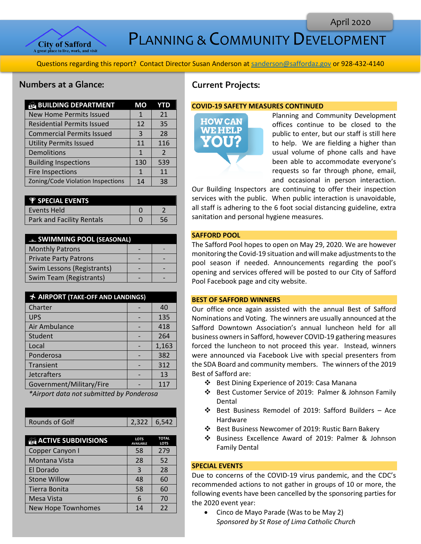

PLANNING & COMMUNITY DEVELOPMENT

Questions regarding this report? Contact Director Susan Anderson a[t sanderson@saffordaz.gov](mailto:sanderson@saffordaz.gov) or 928-432-4140

# Numbers at a Glance:

| <b>BUILDING DEPARTMENT</b>        | MО  | YTD            |
|-----------------------------------|-----|----------------|
| <b>New Home Permits Issued</b>    | 1   | 21             |
| <b>Residential Permits Issued</b> | 12  | 35             |
| <b>Commercial Permits Issued</b>  | 3   | 28             |
| <b>Utility Permits Issued</b>     | 11  | 116            |
| Demolitions                       |     | $\overline{2}$ |
| <b>Building Inspections</b>       | 130 | 539            |
| <b>Fire Inspections</b>           | 1   | 11             |
| Zoning/Code Violation Inspections | 14  | 38             |

| <b>P</b> SPECIAL EVENTS   |  |
|---------------------------|--|
| l Events Held             |  |
| Park and Facility Rentals |  |

| <b>Example 1990L (SEASONAL)</b> |  |  |
|---------------------------------|--|--|
| <b>Monthly Patrons</b>          |  |  |
| <b>Private Party Patrons</b>    |  |  |
| Swim Lessons (Registrants)      |  |  |
| Swim Team (Registrants)         |  |  |

| <b>★ AIRPORT (TAKE-OFF AND LANDINGS)</b> |  |       |
|------------------------------------------|--|-------|
| Charter                                  |  | 40    |
| <b>UPS</b>                               |  | 135   |
| Air Ambulance                            |  | 418   |
| Student                                  |  | 264   |
| Local                                    |  | 1,163 |
| Ponderosa                                |  | 382   |
| Transient                                |  | 312   |
| <b>Jetcrafters</b>                       |  | 13    |
| Government/Military/Fire                 |  | 117   |

*\*Airport data not submitted by Ponderosa*

| 2,322 6,542 |                |  |
|-------------|----------------|--|
|             | Rounds of Golf |  |

| <b>ACTIVE SUBDIVISIONS</b> | <b>LOTS</b><br><b>AVAILABLE</b> | <b>TOTAL</b><br><b>LOTS</b> |
|----------------------------|---------------------------------|-----------------------------|
| Copper Canyon I            | 58                              | 279                         |
| Montana Vista              | 28                              | 52                          |
| El Dorado                  | 3                               | 28                          |
| <b>Stone Willow</b>        | 48                              | 60                          |
| Tierra Bonita              | 58                              | 60                          |
| Mesa Vista                 |                                 | 70                          |
| <b>New Hope Townhomes</b>  | 14                              | 22                          |

# Current Projects:

#### **COVID-19 SAFETY MEASURES CONTINUED**



Planning and Community Development offices continue to be closed to the public to enter, but our staff is still here to help. We are fielding a higher than usual volume of phone calls and have been able to accommodate everyone's requests so far through phone, email, and occasional in person interaction.

Our Building Inspectors are continuing to offer their inspection services with the public. When public interaction is unavoidable, all staff is adhering to the 6 foot social distancing guideline, extra sanitation and personal hygiene measures.

# **SAFFORD POOL**

The Safford Pool hopes to open on May 29, 2020. We are however monitoring the Covid-19 situation and will make adjustments to the pool season if needed. Announcements regarding the pool's opening and services offered will be posted to our City of Safford Pool Facebook page and city website.

#### **BEST OF SAFFORD WINNERS**

Our office once again assisted with the annual Best of Safford Nominations and Voting. The winners are usually announced at the Safford Downtown Association's annual luncheon held for all business owners in Safford, however COVID-19 gathering measures forced the luncheon to not proceed this year. Instead, winners were announced via Facebook Live with special presenters from the SDA Board and community members. The winners of the 2019 Best of Safford are:

- ❖ Best Dining Experience of 2019: Casa Manana
- ❖ Best Customer Service of 2019: Palmer & Johnson Family Dental
- ❖ Best Business Remodel of 2019: Safford Builders Ace Hardware
- ❖ Best Business Newcomer of 2019: Rustic Barn Bakery
- ❖ Business Excellence Award of 2019: Palmer & Johnson Family Dental

## **SPECIAL EVENTS**

Due to concerns of the COVID-19 virus pandemic, and the CDC's recommended actions to not gather in groups of 10 or more, the following events have been cancelled by the sponsoring parties for the 2020 event year:

• Cinco de Mayo Parade (Was to be May 2) *Sponsored by St Rose of Lima Catholic Church*